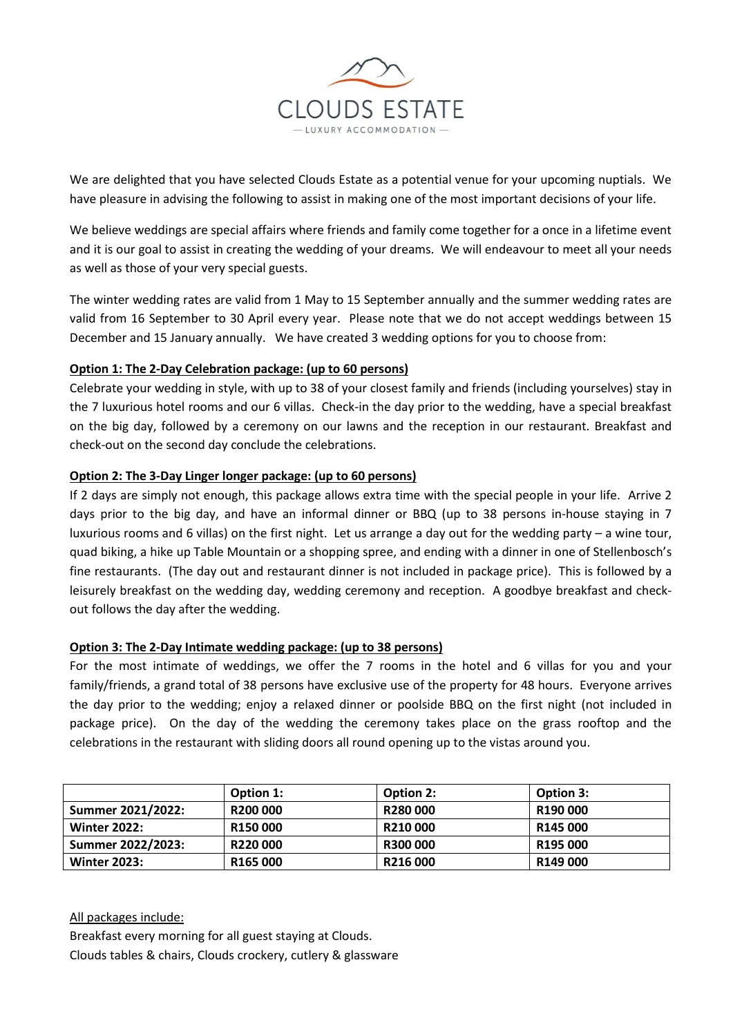

We are delighted that you have selected Clouds Estate as a potential venue for your upcoming nuptials. We have pleasure in advising the following to assist in making one of the most important decisions of your life.

We believe weddings are special affairs where friends and family come together for a once in a lifetime event and it is our goal to assist in creating the wedding of your dreams. We will endeavour to meet all your needs as well as those of your very special guests.

The winter wedding rates are valid from 1 May to 15 September annually and the summer wedding rates are valid from 16 September to 30 April every year. Please note that we do not accept weddings between 15 December and 15 January annually. We have created 3 wedding options for you to choose from:

# **Option 1: The 2-Day Celebration package: (up to 60 persons)**

Celebrate your wedding in style, with up to 38 of your closest family and friends (including yourselves) stay in the 7 luxurious hotel rooms and our 6 villas. Check-in the day prior to the wedding, have a special breakfast on the big day, followed by a ceremony on our lawns and the reception in our restaurant. Breakfast and check-out on the second day conclude the celebrations.

## **Option 2: The 3-Day Linger longer package: (up to 60 persons)**

If 2 days are simply not enough, this package allows extra time with the special people in your life. Arrive 2 days prior to the big day, and have an informal dinner or BBQ (up to 38 persons in-house staying in 7 luxurious rooms and 6 villas) on the first night. Let us arrange a day out for the wedding party – a wine tour, quad biking, a hike up Table Mountain or a shopping spree, and ending with a dinner in one of Stellenbosch's fine restaurants. (The day out and restaurant dinner is not included in package price). This is followed by a leisurely breakfast on the wedding day, wedding ceremony and reception. A goodbye breakfast and checkout follows the day after the wedding.

### **Option 3: The 2-Day Intimate wedding package: (up to 38 persons)**

For the most intimate of weddings, we offer the 7 rooms in the hotel and 6 villas for you and your family/friends, a grand total of 38 persons have exclusive use of the property for 48 hours. Everyone arrives the day prior to the wedding; enjoy a relaxed dinner or poolside BBQ on the first night (not included in package price). On the day of the wedding the ceremony takes place on the grass rooftop and the celebrations in the restaurant with sliding doors all round opening up to the vistas around you.

|                     | Option 1:      | <b>Option 2:</b> | <b>Option 3:</b> |
|---------------------|----------------|------------------|------------------|
| Summer 2021/2022:   | R200 000       | R280000          | R190 000         |
| <b>Winter 2022:</b> | <b>R150000</b> | R210000          | R145 000         |
| Summer 2022/2023:   | R220 000       | <b>R300 000</b>  | R195 000         |
| <b>Winter 2023:</b> | R165000        | R216000          | R149 000         |

All packages include:

Breakfast every morning for all guest staying at Clouds.

Clouds tables & chairs, Clouds crockery, cutlery & glassware